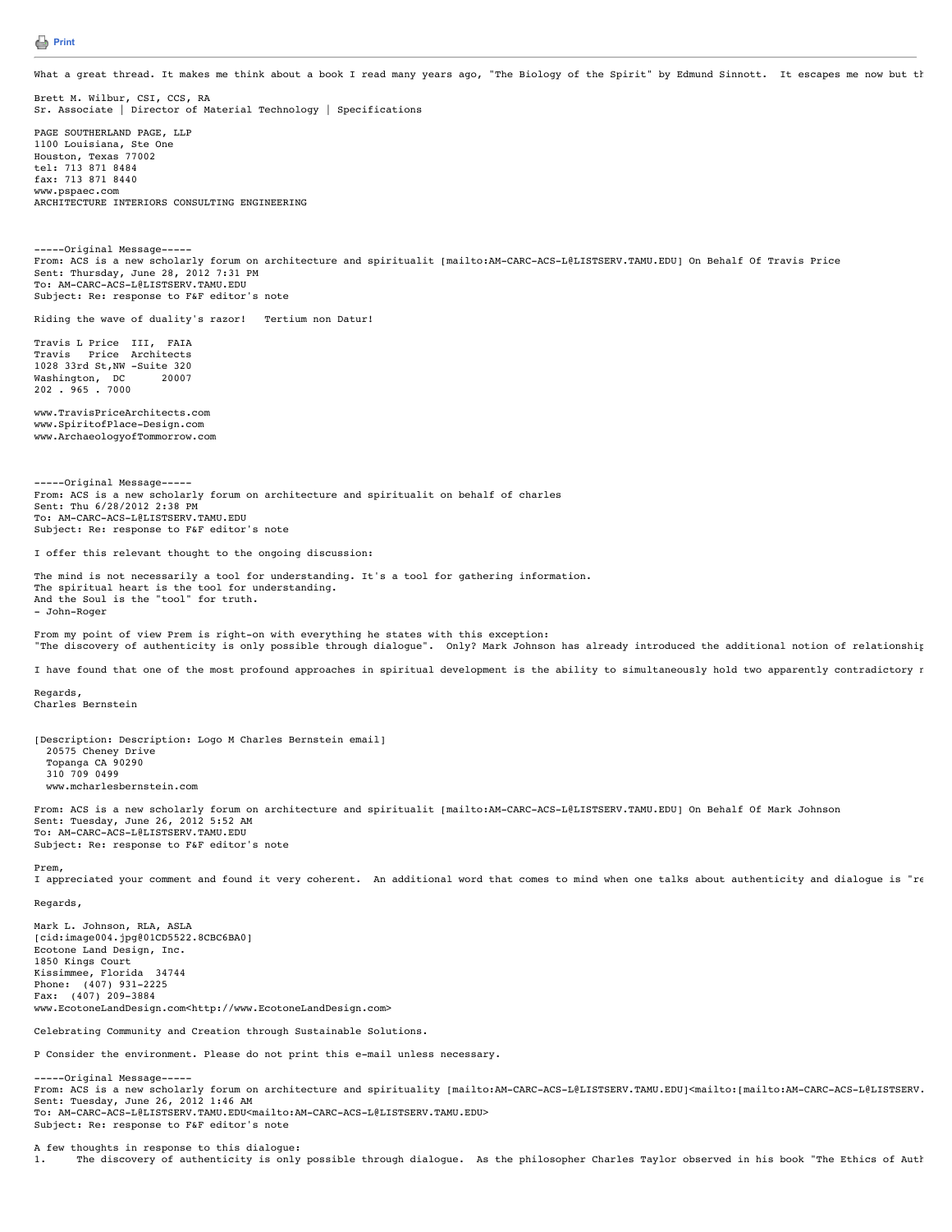## **[Print](javascript:print())**

What a great thread. It makes me think about a book I read many years ago, "The Biology of the Spirit" by Edmund Sinnott. It escapes me now but th

Brett M. Wilbur, CSI, CCS, RA Sr. Associate | Director of Material Technology | Specifications

PAGE SOUTHERLAND PAGE, LLP 1100 Louisiana, Ste One Houston, Texas 77002 tel: 713 871 8484 fax: 713 871 8440 www.pspaec.com ARCHITECTURE INTERIORS CONSULTING ENGINEERING

-----Original Message----- From: ACS is a new scholarly forum on architecture and spiritualit [mailto:AM-CARC-ACS-L@LISTSERV.TAMU.EDU] On Behalf Of Travis Price Sent: Thursday, June 28, 2012 7:31 PM To: AM-CARC-ACS-L@LISTSERV.TAMU.EDU Subject: Re: response to F&F editor's note

Riding the wave of duality's razor! Tertium non Datur!

Travis L Price III, FAIA Travis Price Architects 1028 33rd St, NW -Suite 320<br>Washington, DC 20007 Washington, DC 20007 202 . 965 . 7000

www.TravisPriceArchitects.com www.SpiritofPlace-Design.com www.ArchaeologyofTommorrow.com

-----Original Message----- From: ACS is a new scholarly forum on architecture and spiritualit on behalf of charles Sent: Thu 6/28/2012 2:38 PM To: AM-CARC-ACS-L@LISTSERV.TAMU.EDU Subject: Re: response to F&F editor's note

I offer this relevant thought to the ongoing discussion:

The mind is not necessarily a tool for understanding. It's a tool for gathering information. The spiritual heart is the tool for understanding. And the Soul is the "tool" for truth. - John-Roger

From my point of view Prem is right-on with everything he states with this exception: "The discovery of authenticity is only possible through dialogue". Only? Mark Johnson has already introduced the additional notion of relationship

I have found that one of the most profound approaches in spiritual development is the ability to simultaneously hold two apparently contradictory r

Regards, Charles Bernstein

[Description: Description: Logo M Charles Bernstein email] 20575 Cheney Drive Topanga CA 90290 310 709 0499 www.mcharlesbernstein.com

From: ACS is a new scholarly forum on architecture and spiritualit [mailto:AM-CARC-ACS-L@LISTSERV.TAMU.EDU] On Behalf Of Mark Johnson Sent: Tuesday, June 26, 2012 5:52 AM To: AM-CARC-ACS-L@LISTSERV.TAMU.EDU Subject: Re: response to F&F editor's note

Prem,

I appreciated your comment and found it very coherent. An additional word that comes to mind when one talks about authenticity and dialogue is "re Regards,

Mark L. Johnson, RLA, ASLA [cid:image004.jpg@01CD5522.8CBC6BA0] Ecotone Land Design, Inc. 1850 Kings Court Kissimmee, Florida 34744 Phone: (407) 931-2225 Fax: (407) 209-3884 www.EcotoneLandDesign.com<http://www.EcotoneLandDesign.com>

Celebrating Community and Creation through Sustainable Solutions.

P Consider the environment. Please do not print this e-mail unless necessary.

-----Original Message----- From: ACS is a new scholarly forum on architecture and spirituality [mailto:AM-CARC-ACS-L@LISTSERV.TAMU.EDU]<mailto:[mailto:AM-CARC-ACS-L@LISTSERV. Sent: Tuesday, June 26, 2012 1:46 AM To: AM-CARC-ACS-L@LISTSERV.TAMU.EDU<mailto:AM-CARC-ACS-L@LISTSERV.TAMU.EDU> Subject: Re: response to F&F editor's note

A few thoughts in response to this dialogue:

1. The discovery of authenticity is only possible through dialogue. As the philosopher Charles Taylor observed in his book "The Ethics of Auth